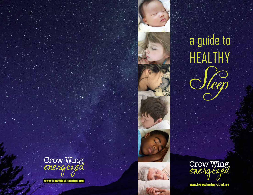





www.CrowWingEnergized.org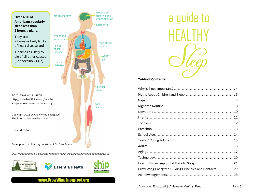

www.CrowWingEnergized.org

a guide to **HEALTHY** 

#### Table of Contents

| Crow Wing Energized Guiding Principles and Contacts 22 |  |
|--------------------------------------------------------|--|
|                                                        |  |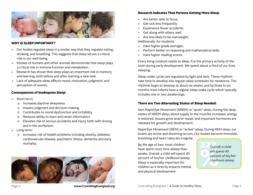

#### WHY IS SLEEP IMPORTANT?

- Our bodies regulate sleep in a similar way that they regulate eating, drinking, and breathing. This suggests that sleep serves a critical role in our well-being.
- Studies of humans and other animals demonstrate that sleep plays a critical role in immune function and metabolism.
- Research has shown that sleep plays an important role in memory and learning, both before and after learning a new task.
- Lack of adequate sleep affects mood, motivation, judgment, and perception of events.

# Consequences of Inadequate Sleep:

- Short term:
	- o Increases daytime sleepiness.
	- o Impairs judgment and decision-making.
	- o Contributes to mood dysfunction and irritability.
	- o Reduces ability to learn and retain information.
	- o Elevates risk of serious accidents and injury, both with driving and in the workplace.
- Long term:
	- o Increases risk of health problems including obesity, diabetes, cardiovascular disease, psychiatric illness, dementia and early mortality.



# brain during early development. We spend about a third of our lives sleeping.

Sleep-wake cycles are regulated by light and dark. These rhythms take time to develop into regular sleep schedules for newborns. The rhythms begin to develop at about six weeks, and by three to six months most infants have a regular sleep-wake cycle which typically includes one or two awakenings.

Every living creature needs to sleep. It is the primary activity of the

# There are Two Alternating States of Sleep Needed:

Research Indicates That Persons Getting More Sleep:

• Perform better on reasoning and mathematical skills.

• Are better able to focus. Get sick less frequently. Experience fewer accidents. Get along with others well. • Are less likely to be overweight.

Additionally, for students

• Have higher grade averages.

• Have higher reading scores.

Non-Rapid Eye Movement (NREM) or "quiet" sleep. During the deep states of NREM sleep, blood supply to the muscles increases, energy is restored, tissues grow and/or repair, and important hormones are released for growth and development.

Rapid Eye Movement (REM) or "active" sleep. During REM sleep, our brains are active and dreaming occurs. Our bodies become immobile, breathing and heart rates are irregular.

By the age of two, most children have spent more time asleep than awake. Overall, a child will spend 40 percent of his/her childhood asleep. Sleep is especially important for children as it directly impacts mental and physical development.

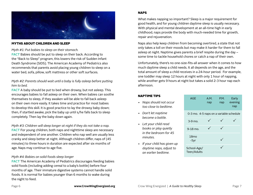

#### MYTHS ABOUT CHILDREN AND SLEEP

*Myth #1: Put babies to sleep on their stomach.*

**FACT** Babies should be put to sleep on their back. According to the "Back to Sleep" program, this lowers the risk of Sudden Infant Death Syndrome (SIDS). The American Academy of Pediatrics also recommends that parents avoid placing young children to sleep on a water bed, sofa, pillow, soft mattress or other soft surfaces.

# *Myth #2: Parents should wait until a baby is fully asleep before putting him to bed.*

**FACT** A baby should be put to bed when drowsy, but not asleep. This encourages babies to fall asleep on their own. When babies can soothe themselves to sleep, if they awaken will be able to fall back asleep on their own more easily. It takes time and practice for most babies to develop this skill. It is good practice to lay the drowsy baby down; then, if startled awake, pick the baby up until s/he falls back to sleep completely. Then lay the baby down again.

*Myth #3: Children will sleep longer at night if they do not take a nap.* **FACT** For young children, both naps and nighttime sleep are necessary and independent of one another. Children who nap well are usually less cranky and sleep better at night. Although children differ, naps of (45 minutes) to three hours in duration are expected after six months of age. Naps may continue to age five.

# *Myth #4: Babies on solid foods sleep longer*

**FACT** The American Academy of Pediatrics discourages feeding babies solid foods (including adding cereal to a baby's bottle) before four months of age. Their immature digestive systems cannot handle solid foods. It is normal for babies younger than 6 months to wake during the night to feed.

# NAPS

What makes napping so important? Sleep is a major requirement for good health, and for young children daytime sleep is usually necessary. With physical and mental development at an all-time high in early childhood, naps provide the body with much-needed time for growth, repair and rejuvenation.

Naps also help keep children from becoming overtired, a state that not only takes a toll on their moods but may make it harder for them to fall asleep at night. Naptime gives parents a brief respite during the day – some time to tackle household chores or catch a nap of their own.

Unfortunately, there's no one-size-fits-all answer when it comes to how much daytime sleep a child needs. It all depends on the age, and the total amount of sleep a child receives in a 24-hour period. For example, one toddler may sleep 12 hours at night with only 1 hour of napping, while another gets 9 hours at night but takes a solid 2-3 hour nap each afternoon.

# NAPTIME TIPS

- *Naps should not occur too close to bedtime.*
- *Don't let naptime become a battle.*
- *Let your child read books or play quietly in the bedroom for 45 minutes.*
- *If your child has given up daytime naps, adjust to an earlier bedtime.*

| AGE | A.M.                                    | P.M. | Early   |
|-----|-----------------------------------------|------|---------|
|     | nap                                     | nap  | evening |
|     |                                         |      | nap     |
|     |                                         |      |         |
|     | 0-3 mo. 4-5 naps on a variable schedule |      |         |

| $3-9$ mo.                  |  |  |
|----------------------------|--|--|
| 9-18 mo.                   |  |  |
| 18 <sub>mo</sub><br>$-5yr$ |  |  |
| School-Age/<br>Teen/Adults |  |  |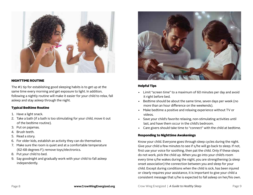

# NIGHTTIME ROUTINE

The #1 tip for establishing good sleeping habits is to get up at the same time every morning and get exposure to light. In addition, following a nightly routine will make it easier for your child to relax, fall asleep and stay asleep through the night.

# Typical Bedtime Routine

- 1. Have a light snack.
- 2. Take a bath (if a bath is too stimulating for your child, move it out of the bedtime routine).
- 3. Put on pajamas.
- 4. Brush teeth.
- 5. Read a story.
- 6. For older kids, establish an activity they can do themselves
- 7. Make sure the room is quiet and at a comfortable temperature (62-68 degrees F); remove toys/electronics.
- 8. Put your child to bed.
- 9. Say goodnight and gradually work with your child to fall asleep independently.



# Helpful Tips

- Limit "screen time" to a maximum of 60 minutes per day and avoid it right before bed.
- Bedtime should be about the same time, seven days per week (no more than an hour difference on the weekends).
- Make bedtime a positive and relaxing experience without TV or videos.
- Save your child's favorite relaxing, non-stimulating activities until last, and have them occur in the child's bedroom.
- Care givers should take time to "connect" with the child at bedtime.

#### Responding to Nighttime Awakenings

Know your child. Everyone goes through sleep cycles during the night. Give your child a few minutes to see if s/he will go back to sleep. If not, first use your voice for soothing, then pat the child. Only if these steps do not work, pick the child up. When you go into your child's room every time s/he wakes during the night, you are strengthening (a sleep onset association) the connection between you and sleep for your child. Except during conditions when the child is sick, has been injured or clearly requires your assistance, it is important to give your child a consistent message that s/he is expected to fall asleep on her/his own.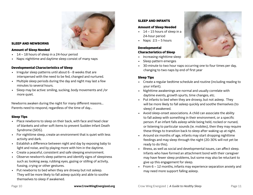

# SLEEP AND NEWBORNS

#### Amount of Sleep Needed

- 14 18 hours of sleep in a 24-hour period
- Naps: nighttime and daytime sleep consist of many naps

# Developmental Characteristics of Sleep

- Irregular sleep patterns until about 6 8 weeks that are interspersed with the need to be fed, changed and nurtured.
- Multiple sleep periods during the day and night may last a few minutes to several hours.
- Sleep may be active: smiling, sucking, body movements and /or more quiet.

Newborns awaken during the night for many different reasons… Parents need to respond, regardless of the time of day…

# Sleep Tips

- Place newborns to sleep on their back, with face and head clear of blankets and other soft items to prevent Sudden Infant Death Syndrome (SIDS).
- For nighttime sleep, create an environment that is quiet with less activity and dark.
- Establish a difference between night and day by exposing baby to light and noise, and by playing more with him in the daytime.
- Create a peaceful, consistent and safe sleeping environment.
- Observe newborn's sleep patterns and identify signs of sleepiness such as: looking away, rubbing eyes, gazing or stilling of activity, fussing, crying or other gestures.
- Put newborns to bed when they are drowsy but not asleep. They will be more likely to fall asleep quickly and able to soothe themselves to sleep if awakened.

# SLEEP AND INFANTS

#### Amount of Sleep Needed

- $\cdot$  14 15 hours of sleep in a 24-hour period
- Naps:  $2.5 5$  hours

### Developmental Characteristics of Sleep

- Increasing nighttime sleep
- Sleep pattern emerges
- 30-minute to two hour naps occurring one to four times per day, changing to two naps by end of first year

# Sleep Tips

- Create a regular bedtime schedule and routine (including reading to your infant).
- Nighttime awakenings are normal and usually correlate with daytime events, growth spurts, time changes, etc.
- Put infants to bed when they are drowsy, but not asleep. They will be more likely to fall asleep quickly and soothe themselves (to sleep) if awakened.
- Avoid sleep-onset associations. A child can associate the ability to fall asleep with something in their environment, or a specific person. If an infant falls asleep while being held, rocked or nursed, or listening to particular sounds (ie. mobiles), then they may require these things to transition back to sleep after waking up at night.
- Around six months of age, infants may start dropping nighttime feedings and may sleep through the night (20-30% will not yet be ready to do this).
- Illness, as well as social and developmental issues, can affect sleep. Infants who have formed an attachment bond with their caregiver may have fewer sleep problems, but some may also be reluctant to give up this engagement for sleep.
- From 6 12 months, infants may experience separation anxiety and may need more support falling asleep.

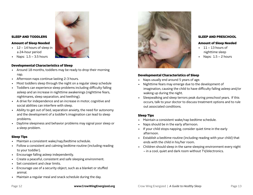#### SLEEP AND TODDLERS

#### Amount of Sleep Needed

- 12 14 hours of sleep in a 24-hour period
- Naps:  $1.5 3.5$  hours

### Developmental Characteristics of Sleep

- Around 18 months, toddlers may be ready to drop their morning nap.
- Afternoon naps continue lasting 2-3 hours.
- Most toddlers sleep through the night on a regular sleep schedule
- Toddlers can experience sleep problems including difficulty falling asleep and an increase in nighttime awakenings (nighttime fears, nightmares, sleep separation, and teething).
- A drive for independence and an increase in motor, cognitive and social abilities can interfere with sleep.
- Ability to get out of bed, separation anxiety, the need for autonomy and the development of a toddler's imagination can lead to sleep problems.
- Daytime sleepiness and behavior problems may signal poor sleep or a sleep problem.

# Sleep Tips

- Maintain a consistent wake/nap/bedtime schedule.
- Follow a consistent and calming bedtime routine (including reading to your toddler).
- Encourage falling asleep independently.
- Create a peaceful, consistent and safe sleeping environment.
- Set consistent and clear limits.
- Encourage use of a security object, such as a blanket or stuffed animal.
- Maintain a regular meal and snack schedule during the day.



#### SLEEP AND PRESCHOOL

### Amount of Sleep Needed

- $\cdot$  11 13 hours of nighttime sleep
- 
- Naps:  $1.5 2$  hours

### Developmental Characteristics of Sleep

- Naps usually end around 5 years of age.
- Nighttime fears may emerge due to the development of imagination, causing the child to have difficulty falling asleep and/or waking up during the night.
- Sleepwalking and sleep terrors peak during preschool years. If this occurs, talk to your doctor to discuss treatment options and to rule out associated conditions.

# Sleep Tips

- Maintain a consistent wake/nap bedtime schedule.
- Naps should be in the early afternoon.
- If your child stops napping, consider quiet time in the early afternoon.
- Establish a bedtime routine (including reading with your child) that ends with the child in his/her room.
- Children should sleep in the same sleeping environment every night – in a cool, quiet and dark room without TV/electronics.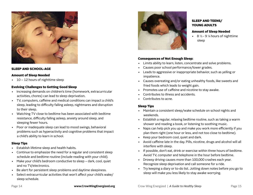

### SLEEP AND SCHOOL-AGE

#### Amount of Sleep Needed

• 10 – 12 hours of nighttime sleep

### Evolving Challenges to Getting Good Sleep

- Increasing demands on children's time (homework, extracurricular activities, chores) can lead to sleep deprivation.
- TV, computers, caffeine and medical conditions can impact a child's sleep, leading to difficulty falling asleep, nightmares and disruption to their sleep.
- Watching TV close to bedtime has been associated with bedtime resistance, difficulty falling asleep, anxiety around sleep, and sleeping fewer hours.
- Poor or inadequate sleep can lead to mood swings, behavioral problems such as hyperactivity and cognitive problems that impact a child's ability to learn in school.

#### Sleep Tips

- Establish lifetime sleep and health habits.
- Continue to emphasize the need for a regular and consistent sleep schedule and bedtime routine (include reading with your child).
- Make your child's bedroom conductive to sleep dark, cool, quiet and no TV/electronics.
- Be alert for persistent sleep problems and daytime sleepiness.
- Select extracurricular activities that won't affect your child's wake/ sleep schedule.



# SLEEP AND TEENS/ YOUNG ADULTS

#### Amount of Sleep Needed

• 8  $\frac{1}{2}$  - 9  $\frac{1}{4}$  hours of nighttime sleep

#### Consequences of Not Enough Sleep:

- Limits ability to learn, listen, concentrate and solve problems.
- Causes poor school performance/lower grades.
- Leads to aggressive or inappropriate behavior, such as yelling or impatience.
- Causes overeating and/or eating unhealthy foods, like sweets and fried foods which leads to weight gain.
- Promotes use of caffeine and nicotine to stay awake.
- Contributes to illness and accidents.
- Contributes to acne.

# Sleep Tips

- Maintain a consistent sleep/wake schedule on school nights and weekends.
- Establish a regular, relaxing bedtime routine, such as taking a warm shower and reading a book, or listening to soothing music.
- Naps can help pick you up and make you work more efficiently if you plan them right (one hour or less, and not too close to bedtime).
- Keep your bedroom cool, quiet and dark.
- Avoid caffeine late in the day. Pills, nicotine, drugs and alcohol will all interfere with sleep.
- If possible, don't eat, drink or exercise within three hours of bedtime. Avoid TV, computer and telephone in the hour before bedtime.
- Drowsy driving causes more than 100,000 crashes each year. Recognize sleep deprivation and call someone for a ride.
- Try keeping a diary or to-do list. Jotting down notes before you go to sleep will make you less likely to stay awake worrying.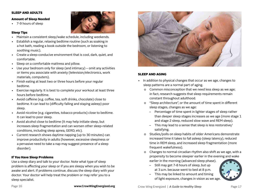#### SLEEP AND ADULTS

#### Amount of Sleep Needed

• 7-9 hours of sleep

# Sleep Tips

- Maintain a consistent sleep/wake schedule, including weekends.
- Establish a regular, relaxing bedtime routine (such as soaking in a hot bath, reading a book outside the bedroom, or listening to soothing music).
- Create a sleep-conducive environment that is cool, dark, quiet, and comfortable.
- Sleep on a comfortable mattress and pillow.
- Use your bedroom only for sleep (and intimacy) omit any activities or items you associate with anxiety (television/electronics, work materials, computers).
- Finish eating at least two or three hours before your regular bedtime.
- Exercise regularly. It is best to complete your workout at least three hours before bedtime.
- Avoid caffeine (e.g. coffee, tea, soft drinks, chocolate) close to bedtime. It can lead to (difficulty falling and staying asleep) poor sleep.
- Avoid nicotine (e.g. cigarettes, tobacco products) close to bedtime. It can lead to poor sleep.
- Avoid alcohol close to bedtime (It may help initiate sleep, but increases sleep fragmentation and can worsen other sleep-related conditions, including sleep apnea, GERD, etc).
- Current research shows daytime napping (up to 30 minutes) can improve productivity in adults (however, excessive sleepiness or a pervasive need to take a nap may suggest presence of a sleep disorder).

# If You Have Sleep Problems

Use a sleep diary and talk to your doctor. Note what type of sleep problem is affecting your sleep or if you are sleepy when you wish to be awake and alert. If problems continue, discuss the sleep diary with your doctor. Your doctor will help treat the problem or may refer you to a sleep specialist.



# Sleep and Aging

- In addition to physical changes that occur as we age, changes to sleep patterns are a normal part of aging.
	- o Common misconception that we need less sleep as we age; in fact, research suggests that sleep requirements remain constant throughout adulthood.
	- o "Sleep architecture", or the amount of time spent in different sleep stages, changes as we age:
		- Percentage of time spent in lighter stages of sleep rather than deeper sleep stages increases as we age (more stage 1 and stage 2 sleep, reduced slow wave and REM sleep).
		- This may lead to a sense that sleep is less restorative/ satisfying.
	- o Studies/polls on sleep habits of older Americans demonstrate increased time it takes to fall asleep (sleep latency), reduced time in REM sleep, and increased sleep fragmentation (more frequent wakefulness).
	- o Changes to normal circadian rhythm also shift as we age, with a propensity to become sleepier earlier in the evening and wake earlier in the morning (advanced sleep phase).
		- Still may get 7-8 hours of sleep, but up at 3 a.m. because went to bed at 8 p.m.



– This may be linked to amount and timing of light exposure, changes in vision as we age.

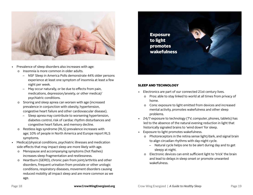

- Prevalence of sleep disorders also increases with age:
	- o Insomnia is more common in older adults.
		- NSF Sleep in America Polls demonstrate 44% older persons experience at least one symptom of insomnia at least a few night per week.
		- May occur naturally, or be due to effects from pain, medications, depression/anxiety, or other medical/ psychiatric conditions.
	- o Snoring and sleep apnea can worsen with age (increased prevalence in conjunction with obesity, hypertension, congestive heart failure and other cardiovascular disease).
		- Sleep apnea may contribute to worsening hypertension, diabetes control, risk of cardiac rhythm disturbances and congestive heart failure, and memory decline.
	- o Restless legs syndrome (RLS) prevalence increases with age; 10% of people in North America and Europe report RLS symptoms.
- Medical/physical conditions, psychiatric illnesses and medication side effects that may impact sleep are more likely with age.
	- o Menopause and accompanying symptoms (hot flashes) increases sleep fragmentation and restlessness.
	- o Heartburn (GERD), chronic pain from joint/arthritis and other disorders, frequent urination from prostate or other urologic conditions, respiratory diseases, movement disorders causing reduced mobility all impact sleep and are more common as we age.



#### Sleep and Technology

- Electronics are part of our connected 21st century lives.
	- o Pros: able to stay linked to world at all times from privacy of home.
	- o Cons: exposure to light emitted from devices and increased mental activity, promotes wakefulness and other sleep problems.
- 24/7 exposure to technology (TV, computer, phones, tablets) has led to the absence of the natural evening reduction in light that historically signaled brains to 'wind down' for sleep.
- Exposure to light promotes wakefulness.
	- o Photoreceptors in the retina sense light/dark, and signal brain to align circadian rhythms with day-night cycle.
		- Natural cycle helps one to be alert during day and to get sleepy at night.
	- o Electronic devices can emit sufficient light to 'trick' the brain and lead to delays in sleep onset or promote unwanted wakefulness.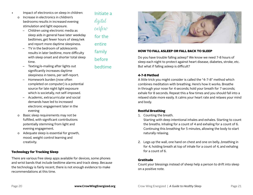Gratitude

#### Crow Wing Energized | A Guide to Healthy Sleep Page 21

# Count your blessings instead of sheep help a person to drift into sleep on a positive note.

# 2. Legs up the wall, one hand on chest and one on belly...breathing in for 4, holding breath at top of inhale for a count of 4, and exhaling for a count of 6.

- Starting with deep intentional inhales and exhales. Starting to count the breaths. Inhaling for a count of 4 and exhaling for a count of 6. Continuing this breathing for 5 minutes, allowing the body to start naturally relaxing.
- Restful Breathing 1. Counting the breath.

Do you have trouble falling asleep? We know we need 7-8 hours of sleep each night to protect against heart disease, diabetes, stroke, etc. But what if falling asleep is difficult?

HOW TO FALL ASLEEP OR FALL BACK TO SLEEP

# 4-7-8 Method

A little trick you might consider is called the "4-7-8" method which combines meditation with breathing. Here's how it works. Breathe in through your nose for 4 seconds; hold your breath for 7 seconds; exhale for 8 seconds. Repeat this a few times and you should fall into a relaxed state more easily. It calms your heart rate and relaxes your mind and body.

# curfew for the

entire family before bedtime

Initiate a

digital

with sleep onset and shorter total sleep time. – Texting/e-mailing after lights out

Impact of electronics on sleep in children:

bedrooms results in increased evening

– Children using electronic media as

sleep aids in general have later weekday bedtimes, get fewer hours of sleep/wk and report more daytime sleepiness. – TV in the bedroom of adolescents

results in later bedtime, more difficulty

o Increase in electronics in children's

stimulation and light exposure.

- significantly increases daytime sleepiness in teens, per self-report.
- Homework burden (now often completed on computer) is a potential source for late night light exposure which is societally, not self-imposed.
- Academic, extracurricular and social demands have led to increased electronic engagement later in the evening
- o Basic sleep requirements may not be fulfilled, with significant contributions potentially stemming from light and evening engagement.
- o Adequate sleep is essential for growth, mood, weight control learning and creativity.

# Technology for Tracking Sleep

There are various free sleep apps available for devices, some phones and wrist bands that include bedtime alarms and track sleep. Because the technology is fairly recent, there is not enough evidence to make recommendations at this time.